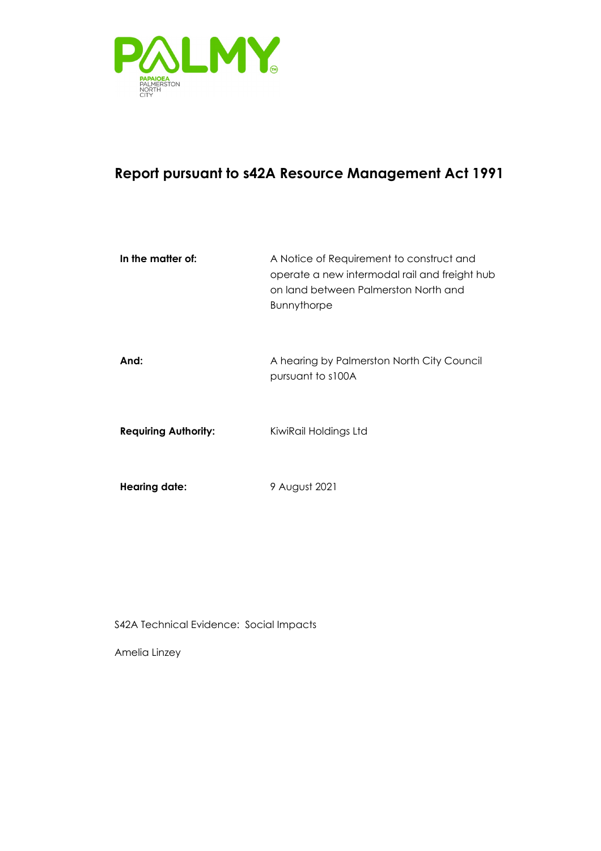

### **Report pursuant to s42A Resource Management Act 1991**

| In the matter of:           | A Notice of Requirement to construct and<br>operate a new intermodal rail and freight hub<br>on land between Palmerston North and<br><b>Bunnythorpe</b> |
|-----------------------------|---------------------------------------------------------------------------------------------------------------------------------------------------------|
| And:                        | A hearing by Palmerston North City Council<br>pursuant to s100A                                                                                         |
| <b>Requiring Authority:</b> | KiwiRail Holdings Ltd                                                                                                                                   |
| <b>Hearing date:</b>        | 9 August 2021                                                                                                                                           |

S42A Technical Evidence: Social Impacts

Amelia Linzey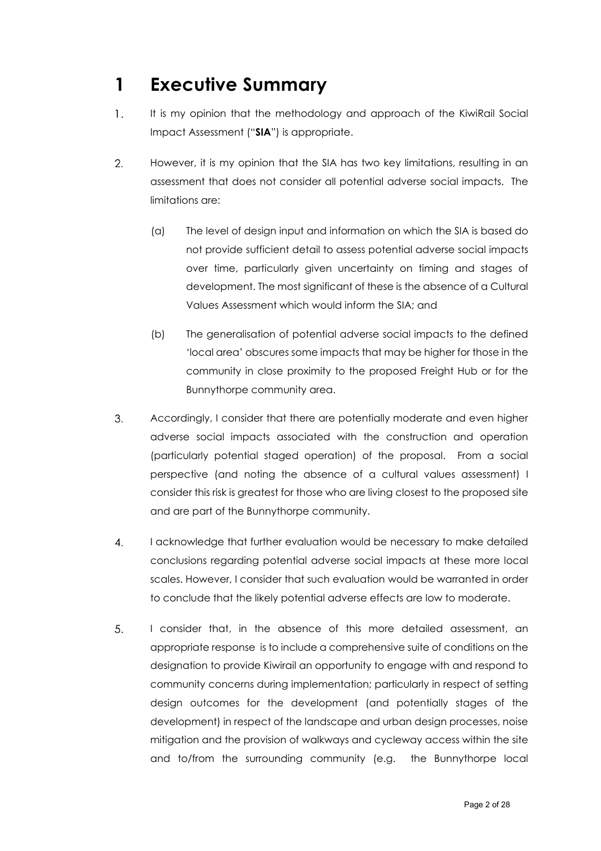# <span id="page-1-0"></span>**1 Executive Summary**

- $\mathbf{1}$ . It is my opinion that the methodology and approach of the KiwiRail Social Impact Assessment ("**SIA**") is appropriate.
- 2. However, it is my opinion that the SIA has two key limitations, resulting in an assessment that does not consider all potential adverse social impacts. The limitations are:
	- (a) The level of design input and information on which the SIA is based do not provide sufficient detail to assess potential adverse social impacts over time, particularly given uncertainty on timing and stages of development. The most significant of these is the absence of a Cultural Values Assessment which would inform the SIA; and
	- (b) The generalisation of potential adverse social impacts to the defined 'local area' obscures some impacts that may be higher for those in the community in close proximity to the proposed Freight Hub or for the Bunnythorpe community area.
- 3. Accordingly, I consider that there are potentially moderate and even higher adverse social impacts associated with the construction and operation (particularly potential staged operation) of the proposal. From a social perspective (and noting the absence of a cultural values assessment) I consider this risk is greatest for those who are living closest to the proposed site and are part of the Bunnythorpe community.
- $\overline{4}$ . I acknowledge that further evaluation would be necessary to make detailed conclusions regarding potential adverse social impacts at these more local scales. However, I consider that such evaluation would be warranted in order to conclude that the likely potential adverse effects are low to moderate.
- 5. I consider that, in the absence of this more detailed assessment, an appropriate response is to include a comprehensive suite of conditions on the designation to provide Kiwirail an opportunity to engage with and respond to community concerns during implementation; particularly in respect of setting design outcomes for the development (and potentially stages of the development) in respect of the landscape and urban design processes, noise mitigation and the provision of walkways and cycleway access within the site and to/from the surrounding community (e.g. the Bunnythorpe local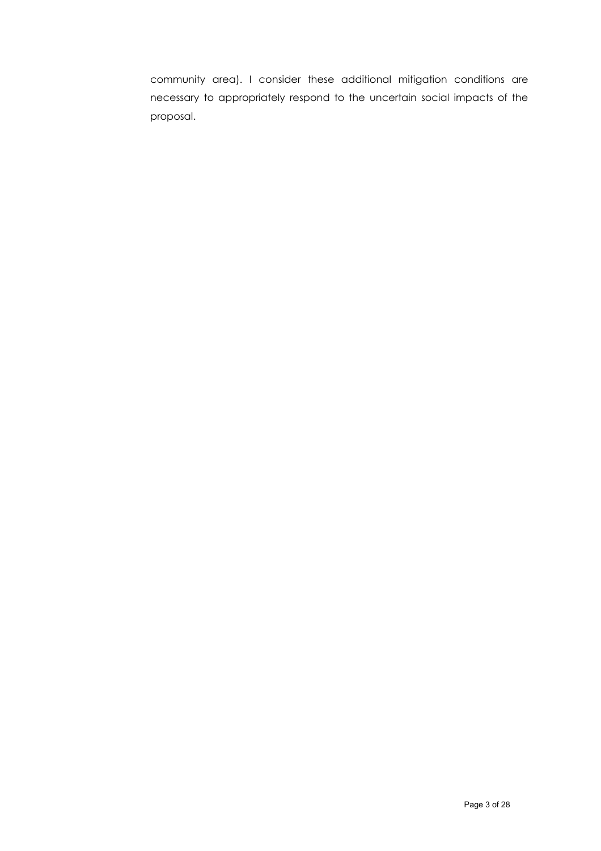community area). I consider these additional mitigation conditions are necessary to appropriately respond to the uncertain social impacts of the proposal.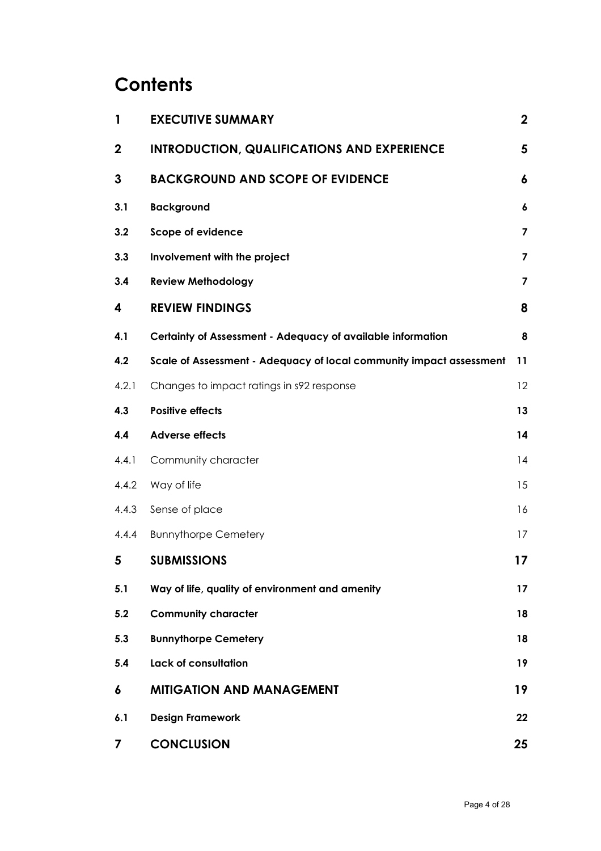# **Contents**

| 1           | <b>EXECUTIVE SUMMARY</b>                                            | $\mathbf 2$             |
|-------------|---------------------------------------------------------------------|-------------------------|
| $\mathbf 2$ | <b>INTRODUCTION, QUALIFICATIONS AND EXPERIENCE</b>                  | 5                       |
| 3           | <b>BACKGROUND AND SCOPE OF EVIDENCE</b>                             | 6                       |
| 3.1         | <b>Background</b>                                                   | 6                       |
| 3.2         | Scope of evidence                                                   | $\overline{\mathbf{z}}$ |
| 3.3         | Involvement with the project                                        | 7                       |
| 3.4         | <b>Review Methodology</b>                                           | 7                       |
| 4           | <b>REVIEW FINDINGS</b>                                              | 8                       |
| 4.1         | Certainty of Assessment - Adequacy of available information         | 8                       |
| 4.2         | Scale of Assessment - Adequacy of local community impact assessment | 11                      |
| 4.2.1       | Changes to impact ratings in s92 response                           | 12                      |
| 4.3         | <b>Positive effects</b>                                             | 13                      |
| 4.4         | <b>Adverse effects</b>                                              | 14                      |
| 4.4.1       | Community character                                                 | 14                      |
| 4.4.2       | Way of life                                                         | 15                      |
| 4.4.3       | Sense of place                                                      | 16                      |
| 4.4.4       | <b>Bunnythorpe Cemetery</b>                                         | 17                      |
| 5           | <b>SUBMISSIONS</b>                                                  | 17                      |
| 5.1         | Way of life, quality of environment and amenity                     | 17                      |
| 5.2         | <b>Community character</b>                                          | 18                      |
| 5.3         | <b>Bunnythorpe Cemetery</b>                                         | 18                      |
| 5.4         | Lack of consultation                                                | 19                      |
| 6           | <b>MITIGATION AND MANAGEMENT</b>                                    | 19                      |
| 6.1         | <b>Design Framework</b>                                             | 22                      |
| 7           | <b>CONCLUSION</b>                                                   | 25                      |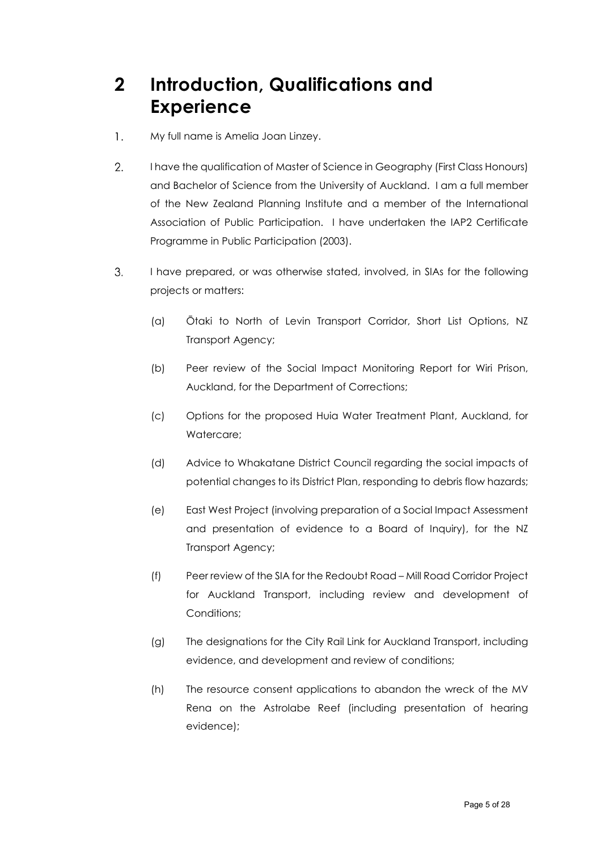# <span id="page-4-0"></span>**2 Introduction, Qualifications and Experience**

- My full name is Amelia Joan Linzey.  $\mathbf{1}$ .
- 2. I have the qualification of Master of Science in Geography (First Class Honours) and Bachelor of Science from the University of Auckland. I am a full member of the New Zealand Planning Institute and a member of the International Association of Public Participation. I have undertaken the IAP2 Certificate Programme in Public Participation (2003).
- 3. I have prepared, or was otherwise stated, involved, in SIAs for the following projects or matters:
	- (a) Ōtaki to North of Levin Transport Corridor, Short List Options, NZ Transport Agency;
	- (b) Peer review of the Social Impact Monitoring Report for Wiri Prison, Auckland, for the Department of Corrections;
	- (c) Options for the proposed Huia Water Treatment Plant, Auckland, for Watercare;
	- (d) Advice to Whakatane District Council regarding the social impacts of potential changes to its District Plan, responding to debris flow hazards;
	- (e) East West Project (involving preparation of a Social Impact Assessment and presentation of evidence to a Board of Inquiry), for the NZ Transport Agency;
	- (f) Peer review of the SIA for the Redoubt Road Mill Road Corridor Project for Auckland Transport, including review and development of Conditions;
	- (g) The designations for the City Rail Link for Auckland Transport, including evidence, and development and review of conditions;
	- (h) The resource consent applications to abandon the wreck of the MV Rena on the Astrolabe Reef (including presentation of hearing evidence);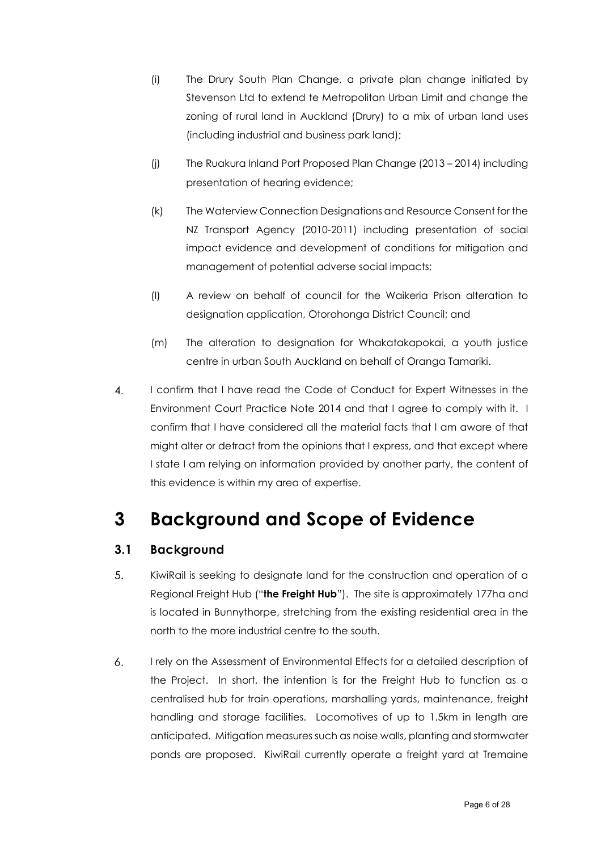- (i) The Drury South Plan Change, a private plan change initiated by Stevenson Ltd to extend te Metropolitan Urban Limit and change the zoning of rural land in Auckland (Drury) to a mix of urban land uses (including industrial and business park land);
- (j) The Ruakura Inland Port Proposed Plan Change (2013 2014) including presentation of hearing evidence;
- (k) The Waterview Connection Designations and Resource Consent for the NZ Transport Agency (2010-2011) including presentation of social impact evidence and development of conditions for mitigation and management of potential adverse social impacts;
- (l) A review on behalf of council for the Waikeria Prison alteration to designation application, Otorohonga District Council; and
- (m) The alteration to designation for Whakatakapokai, a youth justice centre in urban South Auckland on behalf of Oranga Tamariki.
- I confirm that I have read the Code of Conduct for Expert Witnesses in the 4. Environment Court Practice Note 2014 and that I agree to comply with it. I confirm that I have considered all the material facts that I am aware of that might alter or detract from the opinions that I express, and that except where I state I am relying on information provided by another party, the content of this evidence is within my area of expertise.

# <span id="page-5-0"></span>**3 Background and Scope of Evidence**

### <span id="page-5-1"></span>**3.1 Background**

- 5. KiwiRail is seeking to designate land for the construction and operation of a Regional Freight Hub ("**the Freight Hub**"). The site is approximately 177ha and is located in Bunnythorpe, stretching from the existing residential area in the north to the more industrial centre to the south.
- I rely on the Assessment of Environmental Effects for a detailed description of 6. the Project. In short, the intention is for the Freight Hub to function as a centralised hub for train operations, marshalling yards, maintenance, freight handling and storage facilities. Locomotives of up to 1.5km in length are anticipated. Mitigation measures such as noise walls, planting and stormwater ponds are proposed. KiwiRail currently operate a freight yard at Tremaine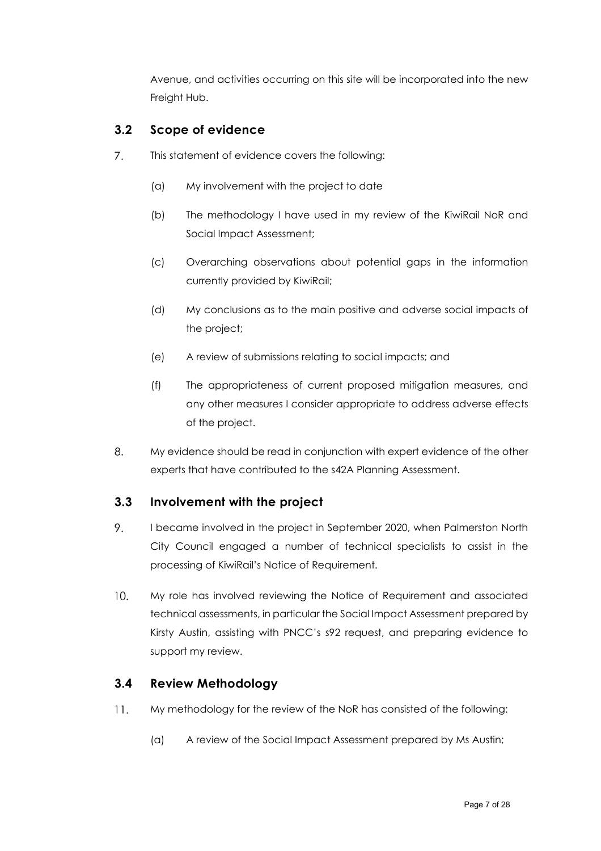Avenue, and activities occurring on this site will be incorporated into the new Freight Hub.

### <span id="page-6-0"></span>**3.2 Scope of evidence**

- $7<sub>1</sub>$ This statement of evidence covers the following:
	- (a) My involvement with the project to date
	- (b) The methodology I have used in my review of the KiwiRail NoR and Social Impact Assessment;
	- (c) Overarching observations about potential gaps in the information currently provided by KiwiRail;
	- (d) My conclusions as to the main positive and adverse social impacts of the project;
	- (e) A review of submissions relating to social impacts; and
	- (f) The appropriateness of current proposed mitigation measures, and any other measures I consider appropriate to address adverse effects of the project.
- 8. My evidence should be read in conjunction with expert evidence of the other experts that have contributed to the s42A Planning Assessment.

#### <span id="page-6-1"></span>**3.3 Involvement with the project**

- 9. I became involved in the project in September 2020, when Palmerston North City Council engaged a number of technical specialists to assist in the processing of KiwiRail's Notice of Requirement.
- $10.$ My role has involved reviewing the Notice of Requirement and associated technical assessments, in particular the Social Impact Assessment prepared by Kirsty Austin, assisting with PNCC's s92 request, and preparing evidence to support my review.

#### <span id="page-6-2"></span>**3.4 Review Methodology**

- $11.$ My methodology for the review of the NoR has consisted of the following:
	- (a) A review of the Social Impact Assessment prepared by Ms Austin;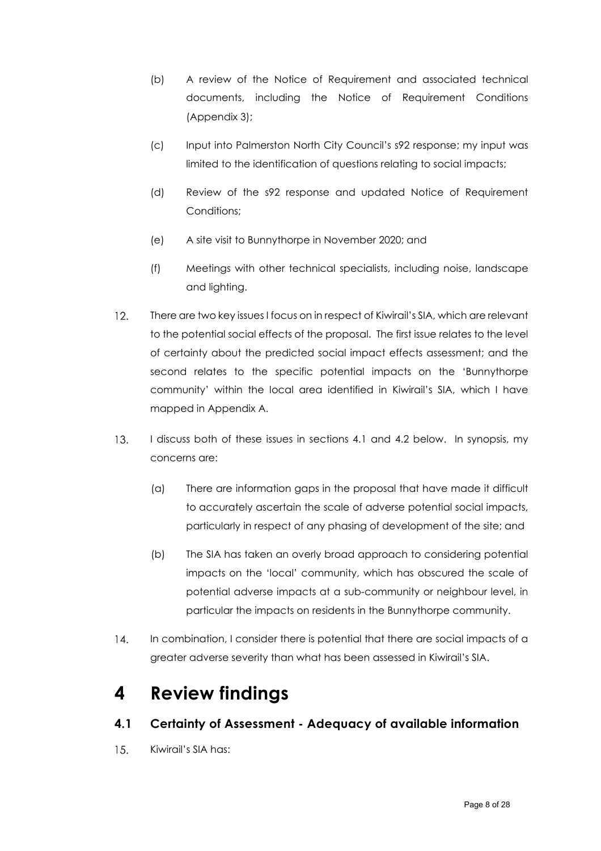- (b) A review of the Notice of Requirement and associated technical documents, including the Notice of Requirement Conditions (Appendix 3);
- (c) Input into Palmerston North City Council's s92 response; my input was limited to the identification of questions relating to social impacts;
- (d) Review of the s92 response and updated Notice of Requirement Conditions:
- (e) A site visit to Bunnythorpe in November 2020; and
- (f) Meetings with other technical specialists, including noise, landscape and lighting.
- There are two key issues I focus on in respect of Kiwirail's SIA, which are relevant  $12.$ to the potential social effects of the proposal. The first issue relates to the level of certainty about the predicted social impact effects assessment; and the second relates to the specific potential impacts on the 'Bunnythorpe community' within the local area identified in Kiwirail's SIA, which I have mapped in Appendix A.
- $13.$ I discuss both of these issues in sections 4.1 and 4.2 below. In synopsis, my concerns are:
	- (a) There are information gaps in the proposal that have made it difficult to accurately ascertain the scale of adverse potential social impacts, particularly in respect of any phasing of development of the site; and
	- (b) The SIA has taken an overly broad approach to considering potential impacts on the 'local' community, which has obscured the scale of potential adverse impacts at a sub-community or neighbour level, in particular the impacts on residents in the Bunnythorpe community.
- $14$ In combination, I consider there is potential that there are social impacts of a greater adverse severity than what has been assessed in Kiwirail's SIA.

# <span id="page-7-0"></span>**4 Review findings**

### <span id="page-7-1"></span>**4.1 Certainty of Assessment - Adequacy of available information**

 $15.$ Kiwirail's SIA has: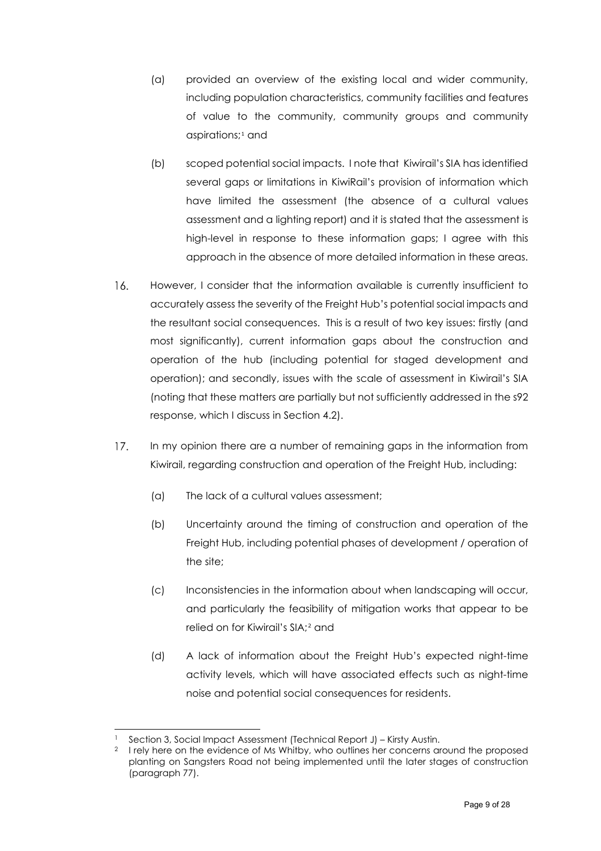- (a) provided an overview of the existing local and wider community, including population characteristics, community facilities and features of value to the community, community groups and community aspirations;<sup>[1](#page-8-0)</sup> and
- (b) scoped potential social impacts. I note that Kiwirail's SIA has identified several gaps or limitations in KiwiRail's provision of information which have limited the assessment (the absence of a cultural values assessment and a lighting report) and it is stated that the assessment is high-level in response to these information gaps; I agree with this approach in the absence of more detailed information in these areas.
- However, I consider that the information available is currently insufficient to 16. accurately assess the severity of the Freight Hub's potential social impacts and the resultant social consequences. This is a result of two key issues: firstly (and most significantly), current information gaps about the construction and operation of the hub (including potential for staged development and operation); and secondly, issues with the scale of assessment in Kiwirail's SIA (noting that these matters are partially but not sufficiently addressed in the s92 response, which I discuss in Section 4.2).
- $17.$ In my opinion there are a number of remaining gaps in the information from Kiwirail, regarding construction and operation of the Freight Hub, including:
	- (a) The lack of a cultural values assessment;
	- (b) Uncertainty around the timing of construction and operation of the Freight Hub, including potential phases of development / operation of the site;
	- (c) Inconsistencies in the information about when landscaping will occur, and particularly the feasibility of mitigation works that appear to be relied on for Kiwirail's SIA;[2](#page-8-1) and
	- (d) A lack of information about the Freight Hub's expected night-time activity levels, which will have associated effects such as night-time noise and potential social consequences for residents.

<span id="page-8-0"></span>Section 3, Social Impact Assessment (Technical Report J) – Kirsty Austin.

<span id="page-8-1"></span><sup>&</sup>lt;sup>2</sup> I rely here on the evidence of Ms Whitby, who outlines her concerns around the proposed planting on Sangsters Road not being implemented until the later stages of construction (paragraph 77).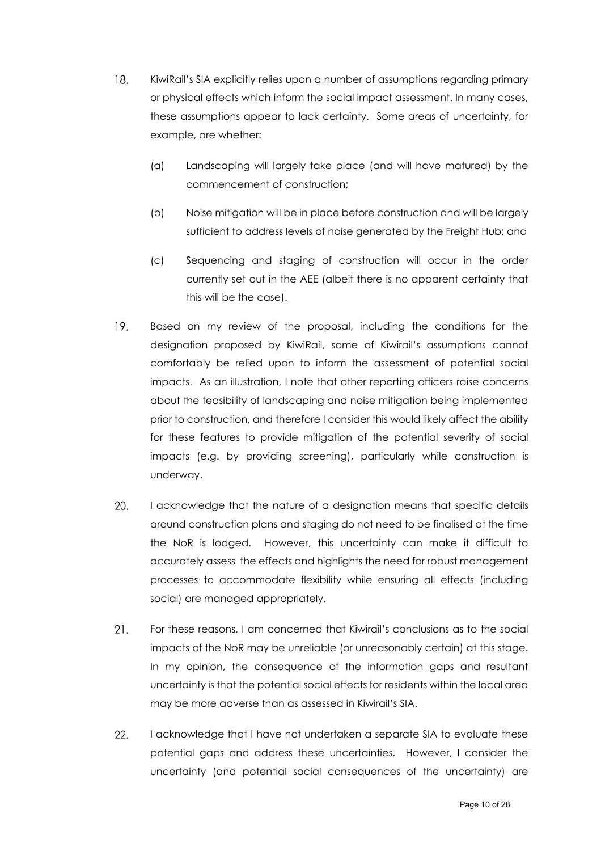- KiwiRail's SIA explicitly relies upon a number of assumptions regarding primary 18. or physical effects which inform the social impact assessment. In many cases, these assumptions appear to lack certainty. Some areas of uncertainty, for example, are whether:
	- (a) Landscaping will largely take place (and will have matured) by the commencement of construction;
	- (b) Noise mitigation will be in place before construction and will be largely sufficient to address levels of noise generated by the Freight Hub; and
	- (c) Sequencing and staging of construction will occur in the order currently set out in the AEE (albeit there is no apparent certainty that this will be the case).
- Based on my review of the proposal, including the conditions for the 19. designation proposed by KiwiRail, some of Kiwirail's assumptions cannot comfortably be relied upon to inform the assessment of potential social impacts. As an illustration, I note that other reporting officers raise concerns about the feasibility of landscaping and noise mitigation being implemented prior to construction, and therefore I consider this would likely affect the ability for these features to provide mitigation of the potential severity of social impacts (e.g. by providing screening), particularly while construction is underway.
- 20. I acknowledge that the nature of a designation means that specific details around construction plans and staging do not need to be finalised at the time the NoR is lodged. However, this uncertainty can make it difficult to accurately assess the effects and highlights the need for robust management processes to accommodate flexibility while ensuring all effects (including social) are managed appropriately.
- $21.$ For these reasons, I am concerned that Kiwirail's conclusions as to the social impacts of the NoR may be unreliable (or unreasonably certain) at this stage. In my opinion, the consequence of the information gaps and resultant uncertainty is that the potential social effects for residents within the local area may be more adverse than as assessed in Kiwirail's SIA.
- 22. I acknowledge that I have not undertaken a separate SIA to evaluate these potential gaps and address these uncertainties. However, I consider the uncertainty (and potential social consequences of the uncertainty) are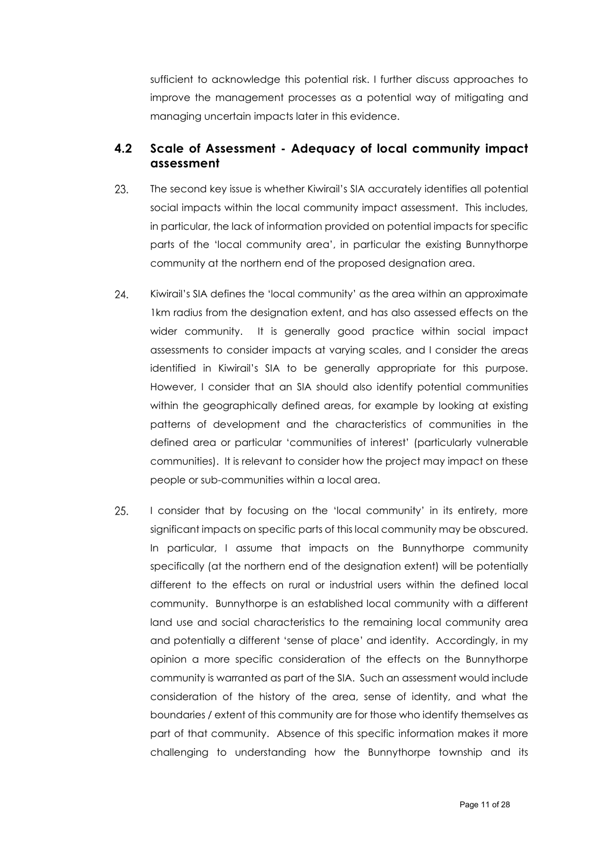sufficient to acknowledge this potential risk. I further discuss approaches to improve the management processes as a potential way of mitigating and managing uncertain impacts later in this evidence.

#### <span id="page-10-0"></span>**4.2 Scale of Assessment - Adequacy of local community impact assessment**

- 23. The second key issue is whether Kiwirail's SIA accurately identifies all potential social impacts within the local community impact assessment. This includes, in particular, the lack of information provided on potential impacts for specific parts of the 'local community area', in particular the existing Bunnythorpe community at the northern end of the proposed designation area.
- 24. Kiwirail's SIA defines the 'local community' as the area within an approximate 1km radius from the designation extent, and has also assessed effects on the wider community. It is generally good practice within social impact assessments to consider impacts at varying scales, and I consider the areas identified in Kiwirail's SIA to be generally appropriate for this purpose. However, I consider that an SIA should also identify potential communities within the geographically defined areas, for example by looking at existing patterns of development and the characteristics of communities in the defined area or particular 'communities of interest' (particularly vulnerable communities). It is relevant to consider how the project may impact on these people or sub-communities within a local area.
- 25. I consider that by focusing on the 'local community' in its entirety, more significant impacts on specific parts of this local community may be obscured. In particular, I assume that impacts on the Bunnythorpe community specifically (at the northern end of the designation extent) will be potentially different to the effects on rural or industrial users within the defined local community. Bunnythorpe is an established local community with a different land use and social characteristics to the remaining local community area and potentially a different 'sense of place' and identity. Accordingly, in my opinion a more specific consideration of the effects on the Bunnythorpe community is warranted as part of the SIA. Such an assessment would include consideration of the history of the area, sense of identity, and what the boundaries / extent of this community are for those who identify themselves as part of that community. Absence of this specific information makes it more challenging to understanding how the Bunnythorpe township and its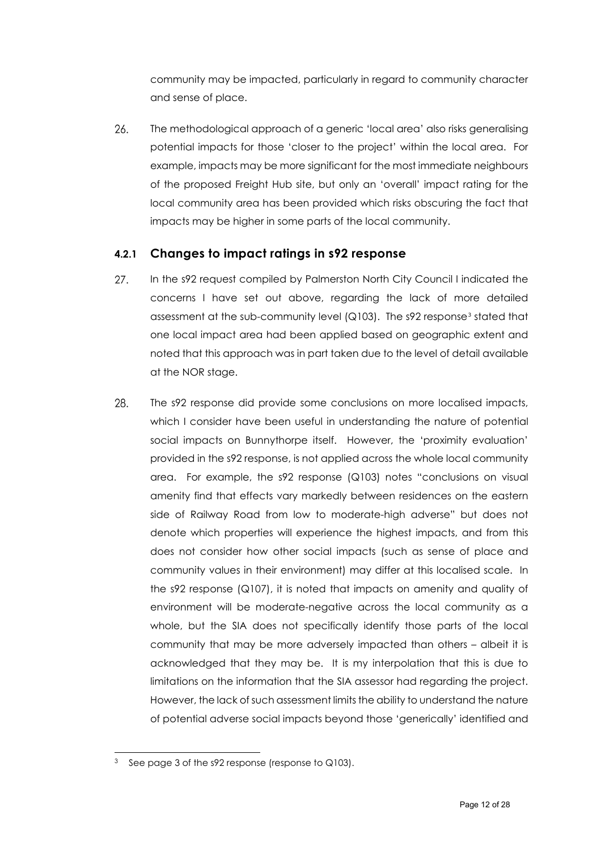community may be impacted, particularly in regard to community character and sense of place.

26. The methodological approach of a generic 'local area' also risks generalising potential impacts for those 'closer to the project' within the local area. For example, impacts may be more significant for the most immediate neighbours of the proposed Freight Hub site, but only an 'overall' impact rating for the local community area has been provided which risks obscuring the fact that impacts may be higher in some parts of the local community.

#### <span id="page-11-0"></span>**4.2.1 Changes to impact ratings in s92 response**

- 27. In the s92 request compiled by Palmerston North City Council I indicated the concerns I have set out above, regarding the lack of more detailed assessment at the sub-community level (Q10[3](#page-11-1)). The s92 response<sup>3</sup> stated that one local impact area had been applied based on geographic extent and noted that this approach was in part taken due to the level of detail available at the NOR stage.
- 28. The s92 response did provide some conclusions on more localised impacts, which I consider have been useful in understanding the nature of potential social impacts on Bunnythorpe itself. However, the 'proximity evaluation' provided in the s92 response, is not applied across the whole local community area. For example, the s92 response (Q103) notes "conclusions on visual amenity find that effects vary markedly between residences on the eastern side of Railway Road from low to moderate-high adverse" but does not denote which properties will experience the highest impacts, and from this does not consider how other social impacts (such as sense of place and community values in their environment) may differ at this localised scale. In the s92 response (Q107), it is noted that impacts on amenity and quality of environment will be moderate-negative across the local community as a whole, but the SIA does not specifically identify those parts of the local community that may be more adversely impacted than others – albeit it is acknowledged that they may be. It is my interpolation that this is due to limitations on the information that the SIA assessor had regarding the project. However, the lack of such assessment limits the ability to understand the nature of potential adverse social impacts beyond those 'generically' identified and

<span id="page-11-1"></span> $3$  See page 3 of the s92 response (response to Q103).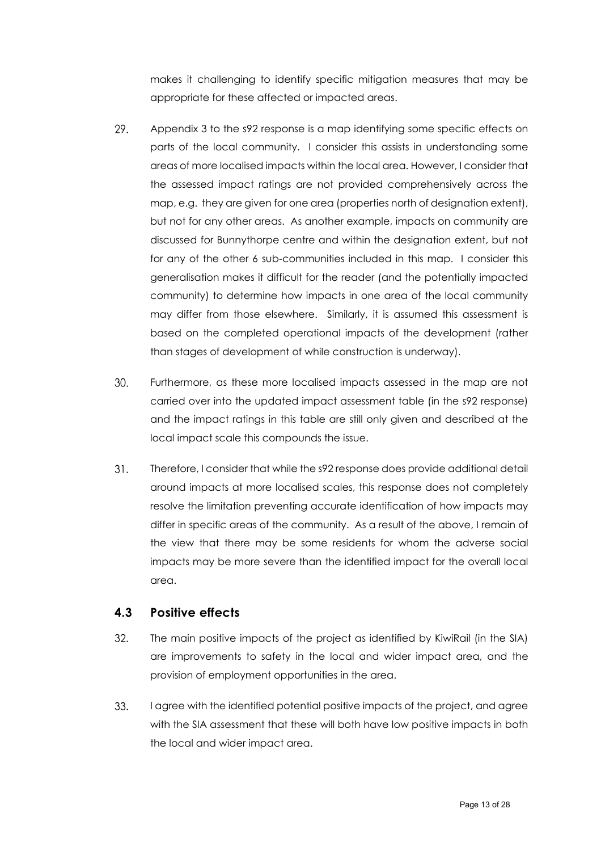makes it challenging to identify specific mitigation measures that may be appropriate for these affected or impacted areas.

- 29. Appendix 3 to the s92 response is a map identifying some specific effects on parts of the local community. I consider this assists in understanding some areas of more localised impacts within the local area. However, I consider that the assessed impact ratings are not provided comprehensively across the map, e.g. they are given for one area (properties north of designation extent), but not for any other areas. As another example, impacts on community are discussed for Bunnythorpe centre and within the designation extent, but not for any of the other 6 sub-communities included in this map. I consider this generalisation makes it difficult for the reader (and the potentially impacted community) to determine how impacts in one area of the local community may differ from those elsewhere. Similarly, it is assumed this assessment is based on the completed operational impacts of the development (rather than stages of development of while construction is underway).
- 30. Furthermore, as these more localised impacts assessed in the map are not carried over into the updated impact assessment table (in the s92 response) and the impact ratings in this table are still only given and described at the local impact scale this compounds the issue.
- $31.$ Therefore, I consider that while the s92 response does provide additional detail around impacts at more localised scales, this response does not completely resolve the limitation preventing accurate identification of how impacts may differ in specific areas of the community. As a result of the above, I remain of the view that there may be some residents for whom the adverse social impacts may be more severe than the identified impact for the overall local area.

#### <span id="page-12-0"></span>**4.3 Positive effects**

- 32. The main positive impacts of the project as identified by KiwiRail (in the SIA) are improvements to safety in the local and wider impact area, and the provision of employment opportunities in the area.
- 33. I agree with the identified potential positive impacts of the project, and agree with the SIA assessment that these will both have low positive impacts in both the local and wider impact area.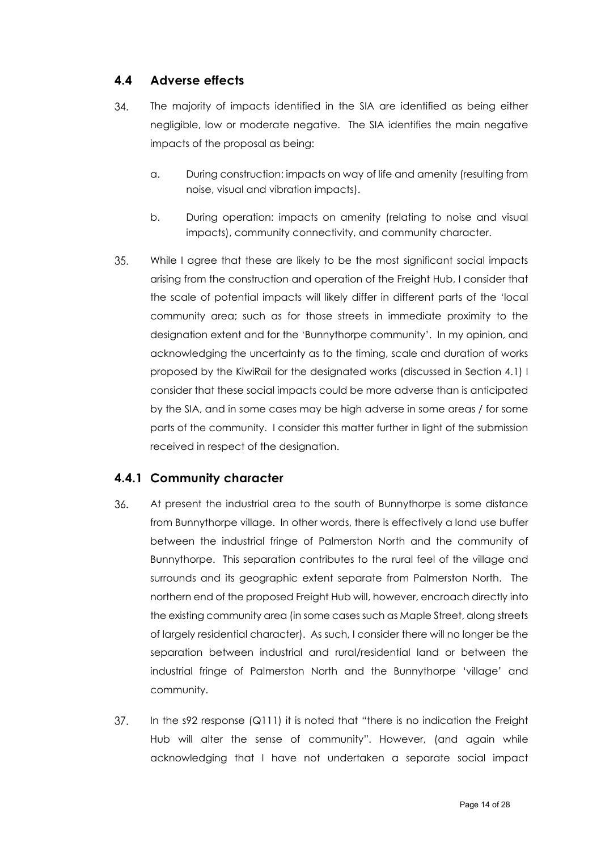### <span id="page-13-0"></span>**4.4 Adverse effects**

- 34. The majority of impacts identified in the SIA are identified as being either negligible, low or moderate negative. The SIA identifies the main negative impacts of the proposal as being:
	- a. During construction: impacts on way of life and amenity (resulting from noise, visual and vibration impacts).
	- b. During operation: impacts on amenity (relating to noise and visual impacts), community connectivity, and community character.
- 35. While I agree that these are likely to be the most significant social impacts arising from the construction and operation of the Freight Hub, I consider that the scale of potential impacts will likely differ in different parts of the 'local community area; such as for those streets in immediate proximity to the designation extent and for the 'Bunnythorpe community'. In my opinion, and acknowledging the uncertainty as to the timing, scale and duration of works proposed by the KiwiRail for the designated works (discussed in Section 4.1) I consider that these social impacts could be more adverse than is anticipated by the SIA, and in some cases may be high adverse in some areas / for some parts of the community. I consider this matter further in light of the submission received in respect of the designation.

### <span id="page-13-1"></span>**4.4.1 Community character**

- 36. At present the industrial area to the south of Bunnythorpe is some distance from Bunnythorpe village. In other words, there is effectively a land use buffer between the industrial fringe of Palmerston North and the community of Bunnythorpe. This separation contributes to the rural feel of the village and surrounds and its geographic extent separate from Palmerston North. The northern end of the proposed Freight Hub will, however, encroach directly into the existing community area (in some cases such as Maple Street, along streets of largely residential character). As such, I consider there will no longer be the separation between industrial and rural/residential land or between the industrial fringe of Palmerston North and the Bunnythorpe 'village' and community.
- 37. In the s92 response (Q111) it is noted that "there is no indication the Freight Hub will alter the sense of community". However, (and again while acknowledging that I have not undertaken a separate social impact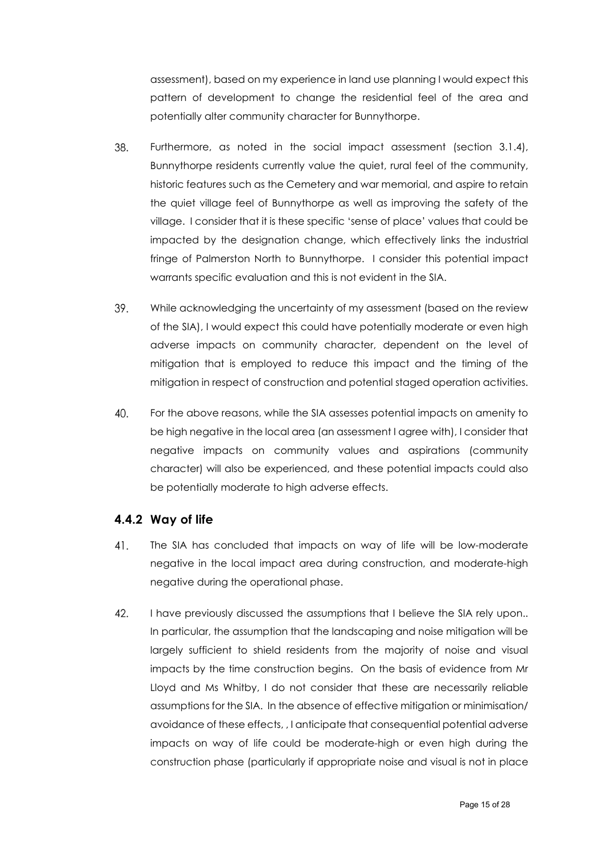assessment), based on my experience in land use planning I would expect this pattern of development to change the residential feel of the area and potentially alter community character for Bunnythorpe.

- 38. Furthermore, as noted in the social impact assessment (section 3.1.4), Bunnythorpe residents currently value the quiet, rural feel of the community, historic features such as the Cemetery and war memorial, and aspire to retain the quiet village feel of Bunnythorpe as well as improving the safety of the village. I consider that it is these specific 'sense of place' values that could be impacted by the designation change, which effectively links the industrial fringe of Palmerston North to Bunnythorpe. I consider this potential impact warrants specific evaluation and this is not evident in the SIA.
- 39. While acknowledging the uncertainty of my assessment (based on the review of the SIA), I would expect this could have potentially moderate or even high adverse impacts on community character, dependent on the level of mitigation that is employed to reduce this impact and the timing of the mitigation in respect of construction and potential staged operation activities.
- 40. For the above reasons, while the SIA assesses potential impacts on amenity to be high negative in the local area (an assessment I agree with), I consider that negative impacts on community values and aspirations (community character) will also be experienced, and these potential impacts could also be potentially moderate to high adverse effects.

#### <span id="page-14-0"></span>**4.4.2 Way of life**

- 41. The SIA has concluded that impacts on way of life will be low-moderate negative in the local impact area during construction, and moderate-high negative during the operational phase.
- 42. I have previously discussed the assumptions that I believe the SIA rely upon.. In particular, the assumption that the landscaping and noise mitigation will be largely sufficient to shield residents from the majority of noise and visual impacts by the time construction begins. On the basis of evidence from Mr Lloyd and Ms Whitby, I do not consider that these are necessarily reliable assumptions for the SIA. In the absence of effective mitigation or minimisation/ avoidance of these effects, , I anticipate that consequential potential adverse impacts on way of life could be moderate-high or even high during the construction phase (particularly if appropriate noise and visual is not in place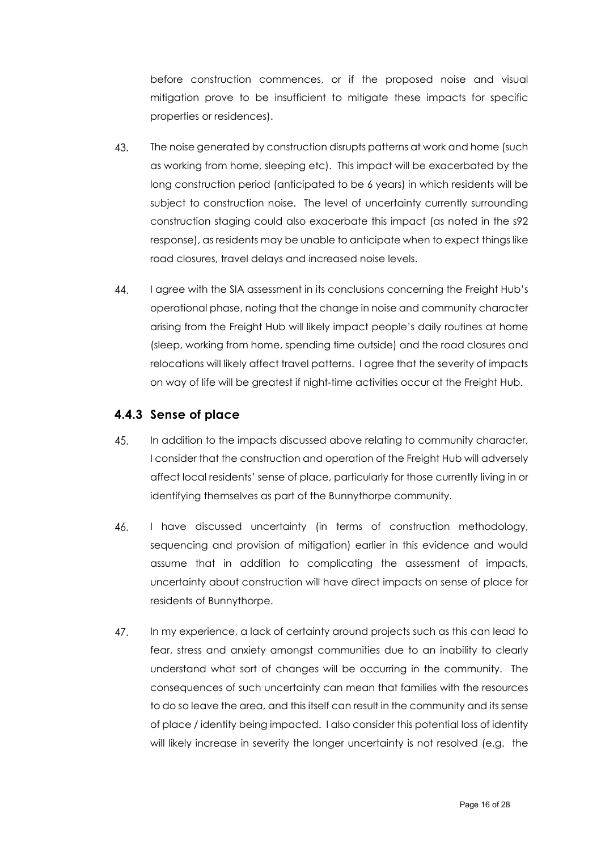before construction commences, or if the proposed noise and visual mitigation prove to be insufficient to mitigate these impacts for specific properties or residences).

- 43. The noise generated by construction disrupts patterns at work and home (such as working from home, sleeping etc). This impact will be exacerbated by the long construction period (anticipated to be 6 years) in which residents will be subject to construction noise. The level of uncertainty currently surrounding construction staging could also exacerbate this impact (as noted in the s92 response), as residents may be unable to anticipate when to expect things like road closures, travel delays and increased noise levels.
- 44. I agree with the SIA assessment in its conclusions concerning the Freight Hub's operational phase, noting that the change in noise and community character arising from the Freight Hub will likely impact people's daily routines at home (sleep, working from home, spending time outside) and the road closures and relocations will likely affect travel patterns. I agree that the severity of impacts on way of life will be greatest if night-time activities occur at the Freight Hub.

#### <span id="page-15-0"></span>**4.4.3 Sense of place**

- 45. In addition to the impacts discussed above relating to community character, I consider that the construction and operation of the Freight Hub will adversely affect local residents' sense of place, particularly for those currently living in or identifying themselves as part of the Bunnythorpe community.
- 46. I have discussed uncertainty (in terms of construction methodology, sequencing and provision of mitigation) earlier in this evidence and would assume that in addition to complicating the assessment of impacts, uncertainty about construction will have direct impacts on sense of place for residents of Bunnythorpe.
- 47. In my experience, a lack of certainty around projects such as this can lead to fear, stress and anxiety amongst communities due to an inability to clearly understand what sort of changes will be occurring in the community. The consequences of such uncertainty can mean that families with the resources to do so leave the area, and this itself can result in the community and its sense of place / identity being impacted. I also consider this potential loss of identity will likely increase in severity the longer uncertainty is not resolved (e.g. the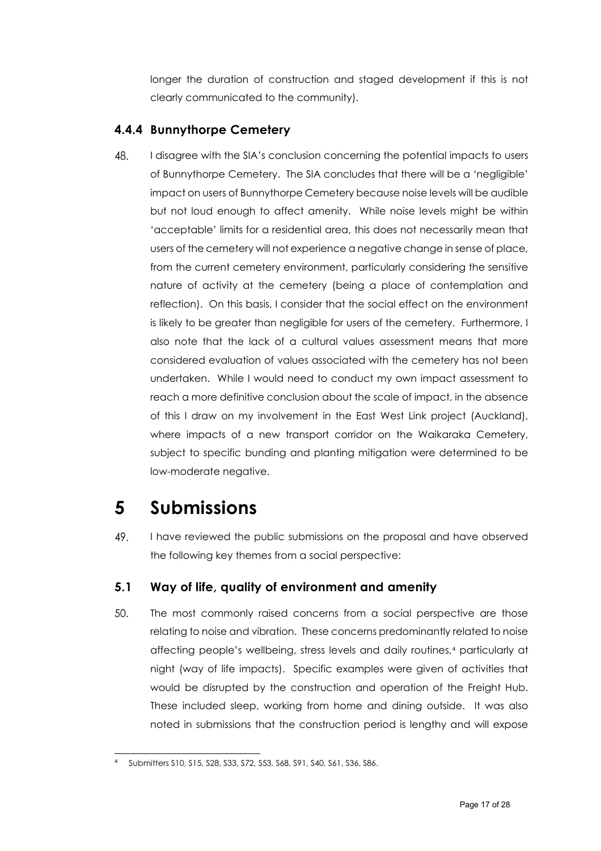longer the duration of construction and staged development if this is not clearly communicated to the community).

### <span id="page-16-0"></span>**4.4.4 Bunnythorpe Cemetery**

48. I disagree with the SIA's conclusion concerning the potential impacts to users of Bunnythorpe Cemetery. The SIA concludes that there will be a 'negligible' impact on users of Bunnythorpe Cemetery because noise levels will be audible but not loud enough to affect amenity. While noise levels might be within 'acceptable' limits for a residential area, this does not necessarily mean that users of the cemetery will not experience a negative change in sense of place, from the current cemetery environment, particularly considering the sensitive nature of activity at the cemetery (being a place of contemplation and reflection). On this basis, I consider that the social effect on the environment is likely to be greater than negligible for users of the cemetery. Furthermore, I also note that the lack of a cultural values assessment means that more considered evaluation of values associated with the cemetery has not been undertaken. While I would need to conduct my own impact assessment to reach a more definitive conclusion about the scale of impact, in the absence of this I draw on my involvement in the East West Link project (Auckland), where impacts of a new transport corridor on the Waikaraka Cemetery, subject to specific bunding and planting mitigation were determined to be low-moderate negative.

### <span id="page-16-1"></span>**5 Submissions**

49. I have reviewed the public submissions on the proposal and have observed the following key themes from a social perspective:

### <span id="page-16-2"></span>**5.1 Way of life, quality of environment and amenity**

50. The most commonly raised concerns from a social perspective are those relating to noise and vibration. These concerns predominantly related to noise affecting people's wellbeing, stress levels and daily routines,[4](#page-16-3) particularly at night (way of life impacts). Specific examples were given of activities that would be disrupted by the construction and operation of the Freight Hub. These included sleep, working from home and dining outside. It was also noted in submissions that the construction period is lengthy and will expose

<span id="page-16-3"></span><sup>4</sup> Submitters S10, S15, S28, S33, S72, S53, S68, S91, S40, S61, S36, S86.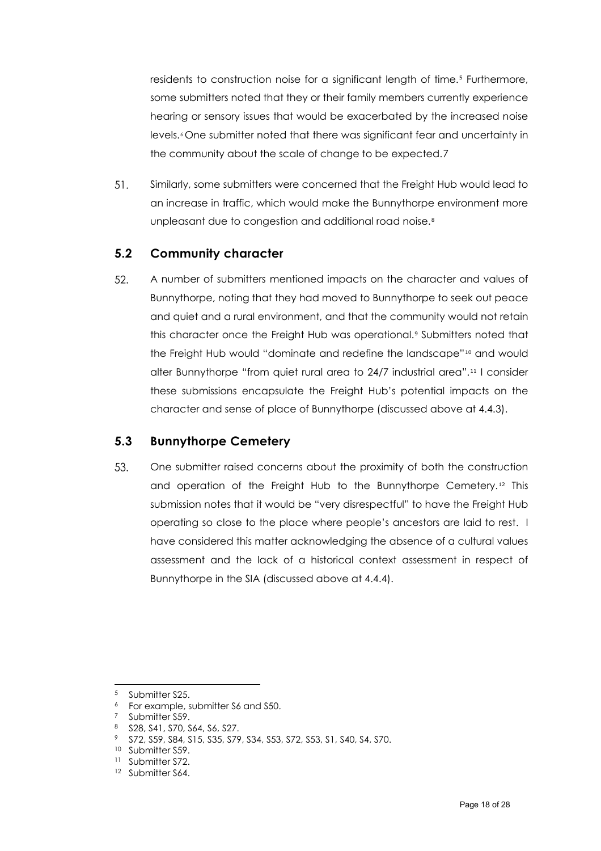residents to construction noise for a significant length of time.<sup>[5](#page-17-2)</sup> Furthermore, some submitters noted that they or their family members currently experience hearing or sensory issues that would be exacerbated by the increased noise levels.<sup>[6](#page-17-3)</sup> One submitter noted that there was significant fear and uncertainty in the community about the scale of change to be expected.[7](#page-17-4)

51. Similarly, some submitters were concerned that the Freight Hub would lead to an increase in traffic, which would make the Bunnythorpe environment more unpleasant due to congestion and additional road noise.<sup>[8](#page-17-5)</sup>

#### <span id="page-17-0"></span>**5.2 Community character**

52. A number of submitters mentioned impacts on the character and values of Bunnythorpe, noting that they had moved to Bunnythorpe to seek out peace and quiet and a rural environment, and that the community would not retain this character once the Freight Hub was operational.[9](#page-17-6) Submitters noted that the Freight Hub would "dominate and redefine the landscape"<sup>[10](#page-17-7)</sup> and would alter Bunnythorpe "from quiet rural area to 24/7 industrial area".[11](#page-17-8) I consider these submissions encapsulate the Freight Hub's potential impacts on the character and sense of place of Bunnythorpe (discussed above at 4.4.3).

#### <span id="page-17-1"></span>**5.3 Bunnythorpe Cemetery**

53. One submitter raised concerns about the proximity of both the construction and operation of the Freight Hub to the Bunnythorpe Cemetery.[12](#page-17-9) This submission notes that it would be "very disrespectful" to have the Freight Hub operating so close to the place where people's ancestors are laid to rest. I have considered this matter acknowledging the absence of a cultural values assessment and the lack of a historical context assessment in respect of Bunnythorpe in the SIA (discussed above at 4.4.4).

<span id="page-17-2"></span><sup>5</sup> Submitter S25.

<span id="page-17-3"></span><sup>6</sup> For example, submitter S6 and S50.

Submitter S59.

<span id="page-17-6"></span><span id="page-17-5"></span><span id="page-17-4"></span><sup>8</sup> S28, S41, S70, S64, S6, S27.

<sup>9</sup> S72, S59, S84, S15, S35, S79, S34, S53, S72, S53, S1, S40, S4, S70.

<span id="page-17-8"></span><span id="page-17-7"></span><sup>&</sup>lt;sup>10</sup> Submitter S59.

<sup>&</sup>lt;sup>11</sup> Submitter S72.

<span id="page-17-9"></span><sup>&</sup>lt;sup>12</sup> Submitter S64.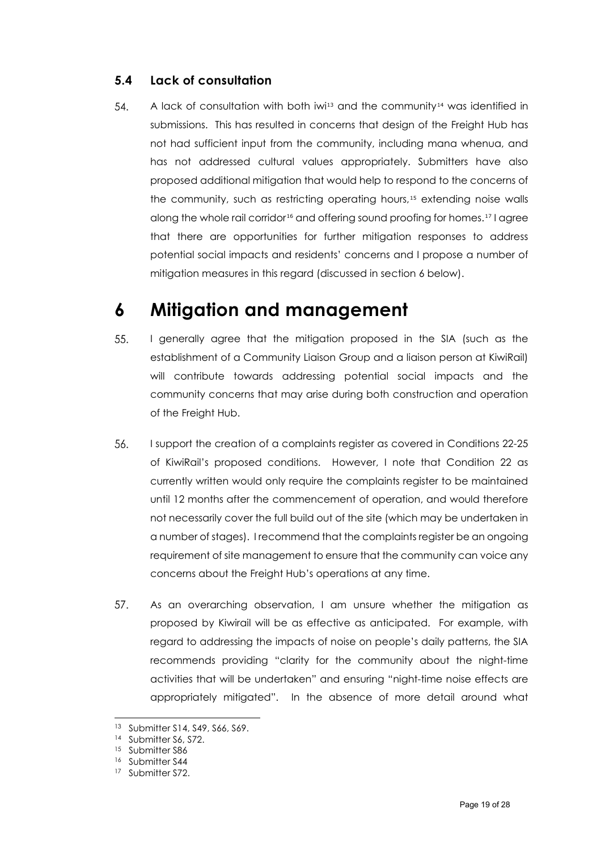### <span id="page-18-0"></span>**5.4 Lack of consultation**

54. A lack of consultation with both iwi<sup>[13](#page-18-2)</sup> and the community<sup>[14](#page-18-3)</sup> was identified in submissions. This has resulted in concerns that design of the Freight Hub has not had sufficient input from the community, including mana whenua, and has not addressed cultural values appropriately. Submitters have also proposed additional mitigation that would help to respond to the concerns of the community, such as restricting operating hours,<sup>[15](#page-18-4)</sup> extending noise walls along the whole rail corridor[16](#page-18-5) and offering sound proofing for homes.[17](#page-18-6) I agree that there are opportunities for further mitigation responses to address potential social impacts and residents' concerns and I propose a number of mitigation measures in this regard (discussed in section 6 below).

### <span id="page-18-1"></span>**6 Mitigation and management**

- 55. I generally agree that the mitigation proposed in the SIA (such as the establishment of a Community Liaison Group and a liaison person at KiwiRail) will contribute towards addressing potential social impacts and the community concerns that may arise during both construction and operation of the Freight Hub.
- I support the creation of a complaints register as covered in Conditions 22-25 56. of KiwiRail's proposed conditions. However, I note that Condition 22 as currently written would only require the complaints register to be maintained until 12 months after the commencement of operation, and would therefore not necessarily cover the full build out of the site (which may be undertaken in a number of stages). I recommend that the complaints register be an ongoing requirement of site management to ensure that the community can voice any concerns about the Freight Hub's operations at any time.
- 57. As an overarching observation, I am unsure whether the mitigation as proposed by Kiwirail will be as effective as anticipated. For example, with regard to addressing the impacts of noise on people's daily patterns, the SIA recommends providing "clarity for the community about the night-time activities that will be undertaken" and ensuring "night-time noise effects are appropriately mitigated". In the absence of more detail around what

<span id="page-18-2"></span><sup>13</sup> Submitter S14, S49, S66, S69.

<span id="page-18-3"></span><sup>&</sup>lt;sup>14</sup> Submitter S6, S72.

<span id="page-18-4"></span><sup>&</sup>lt;sup>15</sup> Submitter S86

<span id="page-18-5"></span><sup>16</sup> Submitter S44

<span id="page-18-6"></span><sup>&</sup>lt;sup>17</sup> Submitter S72.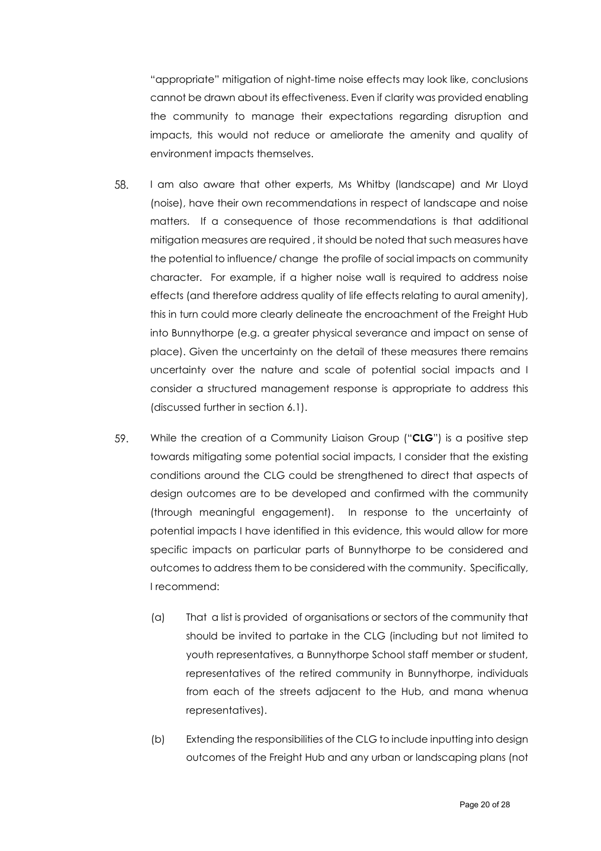"appropriate" mitigation of night-time noise effects may look like, conclusions cannot be drawn about its effectiveness. Even if clarity was provided enabling the community to manage their expectations regarding disruption and impacts, this would not reduce or ameliorate the amenity and quality of environment impacts themselves.

- 58. I am also aware that other experts, Ms Whitby (landscape) and Mr Lloyd (noise), have their own recommendations in respect of landscape and noise matters. If a consequence of those recommendations is that additional mitigation measures are required , it should be noted that such measures have the potential to influence/ change the profile of social impacts on community character. For example, if a higher noise wall is required to address noise effects (and therefore address quality of life effects relating to aural amenity), this in turn could more clearly delineate the encroachment of the Freight Hub into Bunnythorpe (e.g. a greater physical severance and impact on sense of place). Given the uncertainty on the detail of these measures there remains uncertainty over the nature and scale of potential social impacts and I consider a structured management response is appropriate to address this (discussed further in section 6.1).
- 59. While the creation of a Community Liaison Group ("**CLG**") is a positive step towards mitigating some potential social impacts, I consider that the existing conditions around the CLG could be strengthened to direct that aspects of design outcomes are to be developed and confirmed with the community (through meaningful engagement). In response to the uncertainty of potential impacts I have identified in this evidence, this would allow for more specific impacts on particular parts of Bunnythorpe to be considered and outcomes to address them to be considered with the community. Specifically, I recommend:
	- (a) That a list is provided of organisations or sectors of the community that should be invited to partake in the CLG (including but not limited to youth representatives, a Bunnythorpe School staff member or student, representatives of the retired community in Bunnythorpe, individuals from each of the streets adjacent to the Hub, and mana whenua representatives).
	- (b) Extending the responsibilities of the CLG to include inputting into design outcomes of the Freight Hub and any urban or landscaping plans (not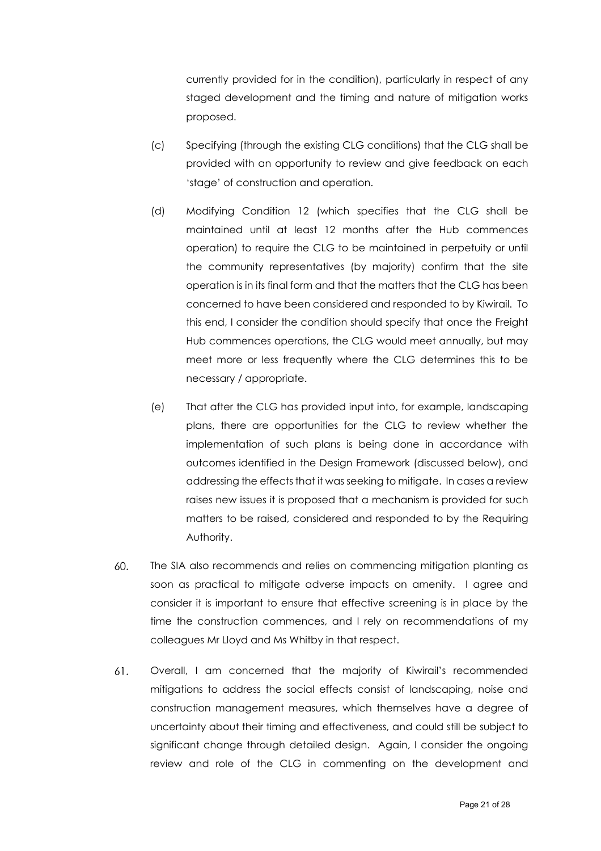currently provided for in the condition), particularly in respect of any staged development and the timing and nature of mitigation works proposed.

- (c) Specifying (through the existing CLG conditions) that the CLG shall be provided with an opportunity to review and give feedback on each 'stage' of construction and operation.
- (d) Modifying Condition 12 (which specifies that the CLG shall be maintained until at least 12 months after the Hub commences operation) to require the CLG to be maintained in perpetuity or until the community representatives (by majority) confirm that the site operation is in its final form and that the matters that the CLG has been concerned to have been considered and responded to by Kiwirail. To this end, I consider the condition should specify that once the Freight Hub commences operations, the CLG would meet annually, but may meet more or less frequently where the CLG determines this to be necessary / appropriate.
- (e) That after the CLG has provided input into, for example, landscaping plans, there are opportunities for the CLG to review whether the implementation of such plans is being done in accordance with outcomes identified in the Design Framework (discussed below), and addressing the effects that it was seeking to mitigate. In cases a review raises new issues it is proposed that a mechanism is provided for such matters to be raised, considered and responded to by the Requiring Authority.
- 60. The SIA also recommends and relies on commencing mitigation planting as soon as practical to mitigate adverse impacts on amenity. I agree and consider it is important to ensure that effective screening is in place by the time the construction commences, and I rely on recommendations of my colleagues Mr Lloyd and Ms Whitby in that respect.
- 61. Overall, I am concerned that the majority of Kiwirail's recommended mitigations to address the social effects consist of landscaping, noise and construction management measures, which themselves have a degree of uncertainty about their timing and effectiveness, and could still be subject to significant change through detailed design. Again, I consider the ongoing review and role of the CLG in commenting on the development and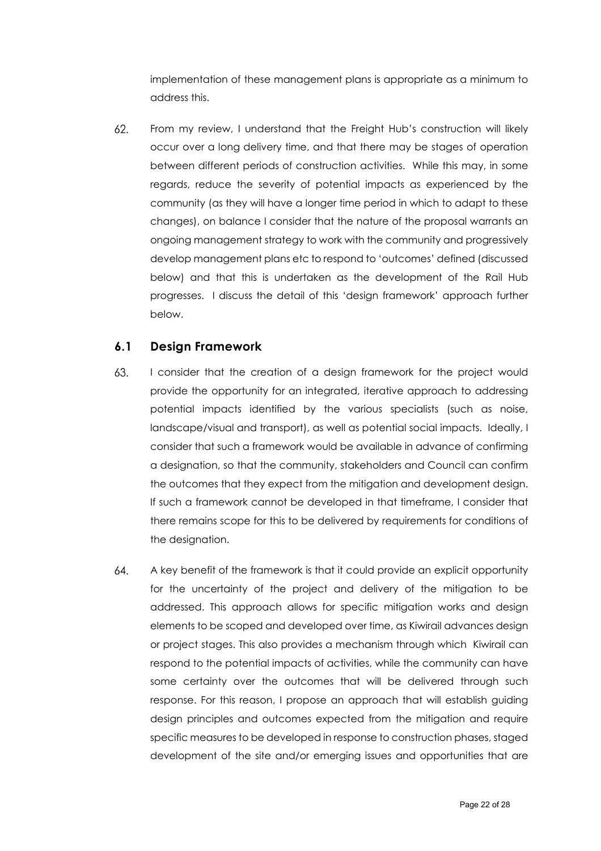implementation of these management plans is appropriate as a minimum to address this.

62. From my review, I understand that the Freight Hub's construction will likely occur over a long delivery time, and that there may be stages of operation between different periods of construction activities. While this may, in some regards, reduce the severity of potential impacts as experienced by the community (as they will have a longer time period in which to adapt to these changes), on balance I consider that the nature of the proposal warrants an ongoing management strategy to work with the community and progressively develop management plans etc to respond to 'outcomes' defined (discussed below) and that this is undertaken as the development of the Rail Hub progresses. I discuss the detail of this 'design framework' approach further below.

#### <span id="page-21-0"></span>**6.1 Design Framework**

- $63$ I consider that the creation of a design framework for the project would provide the opportunity for an integrated, iterative approach to addressing potential impacts identified by the various specialists (such as noise, landscape/visual and transport), as well as potential social impacts. Ideally, I consider that such a framework would be available in advance of confirming a designation, so that the community, stakeholders and Council can confirm the outcomes that they expect from the mitigation and development design. If such a framework cannot be developed in that timeframe, I consider that there remains scope for this to be delivered by requirements for conditions of the designation.
- 64. A key benefit of the framework is that it could provide an explicit opportunity for the uncertainty of the project and delivery of the mitigation to be addressed. This approach allows for specific mitigation works and design elements to be scoped and developed over time, as Kiwirail advances design or project stages. This also provides a mechanism through which Kiwirail can respond to the potential impacts of activities, while the community can have some certainty over the outcomes that will be delivered through such response. For this reason, I propose an approach that will establish guiding design principles and outcomes expected from the mitigation and require specific measures to be developed in response to construction phases, staged development of the site and/or emerging issues and opportunities that are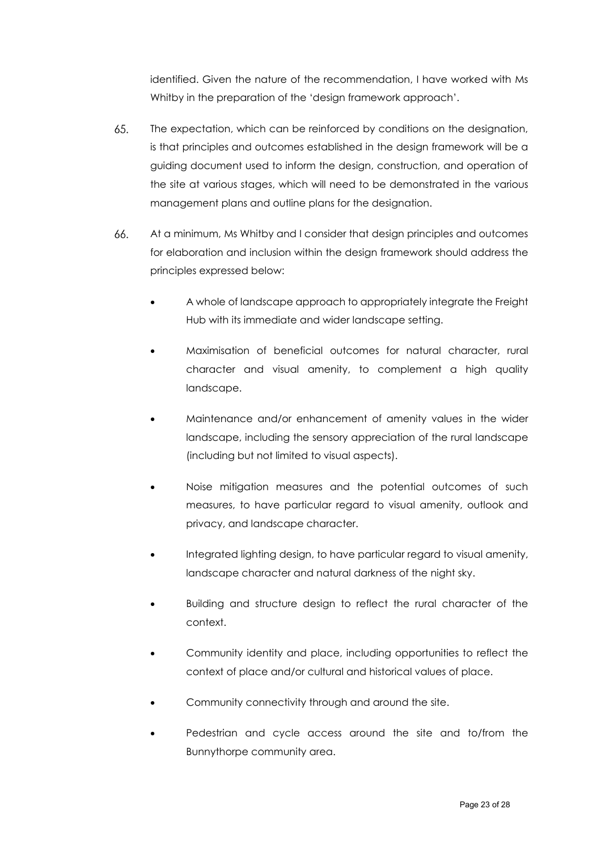identified. Given the nature of the recommendation, I have worked with Ms Whitby in the preparation of the 'design framework approach'.

- 65. The expectation, which can be reinforced by conditions on the designation, is that principles and outcomes established in the design framework will be a guiding document used to inform the design, construction, and operation of the site at various stages, which will need to be demonstrated in the various management plans and outline plans for the designation.
- 66. At a minimum, Ms Whitby and I consider that design principles and outcomes for elaboration and inclusion within the design framework should address the principles expressed below:
	- A whole of landscape approach to appropriately integrate the Freight Hub with its immediate and wider landscape setting.
	- Maximisation of beneficial outcomes for natural character, rural character and visual amenity, to complement a high quality landscape.
	- Maintenance and/or enhancement of amenity values in the wider landscape, including the sensory appreciation of the rural landscape (including but not limited to visual aspects).
	- Noise mitigation measures and the potential outcomes of such measures, to have particular regard to visual amenity, outlook and privacy, and landscape character.
	- Integrated lighting design, to have particular regard to visual amenity, landscape character and natural darkness of the night sky.
	- Building and structure design to reflect the rural character of the context.
	- Community identity and place, including opportunities to reflect the context of place and/or cultural and historical values of place.
	- Community connectivity through and around the site.
	- Pedestrian and cycle access around the site and to/from the Bunnythorpe community area.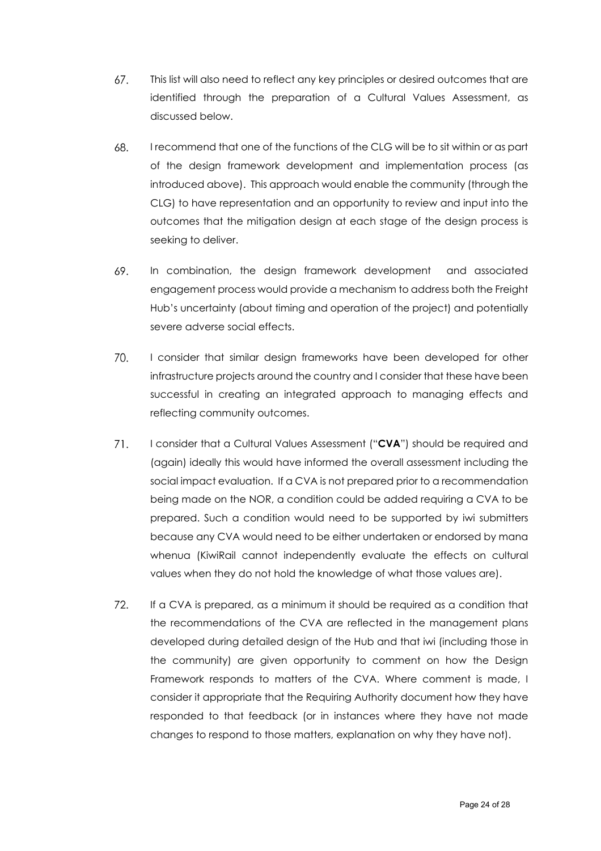- This list will also need to reflect any key principles or desired outcomes that are 67. identified through the preparation of a Cultural Values Assessment, as discussed below.
- 68. I recommend that one of the functions of the CLG will be to sit within or as part of the design framework development and implementation process (as introduced above). This approach would enable the community (through the CLG) to have representation and an opportunity to review and input into the outcomes that the mitigation design at each stage of the design process is seeking to deliver.
- 69. In combination, the design framework development and associated engagement process would provide a mechanism to address both the Freight Hub's uncertainty (about timing and operation of the project) and potentially severe adverse social effects.
- 70. I consider that similar design frameworks have been developed for other infrastructure projects around the country and I consider that these have been successful in creating an integrated approach to managing effects and reflecting community outcomes.
- 71. I consider that a Cultural Values Assessment ("**CVA**") should be required and (again) ideally this would have informed the overall assessment including the social impact evaluation. If a CVA is not prepared prior to a recommendation being made on the NOR, a condition could be added requiring a CVA to be prepared. Such a condition would need to be supported by iwi submitters because any CVA would need to be either undertaken or endorsed by mana whenua (KiwiRail cannot independently evaluate the effects on cultural values when they do not hold the knowledge of what those values are).
- 72. If a CVA is prepared, as a minimum it should be required as a condition that the recommendations of the CVA are reflected in the management plans developed during detailed design of the Hub and that iwi (including those in the community) are given opportunity to comment on how the Design Framework responds to matters of the CVA. Where comment is made, I consider it appropriate that the Requiring Authority document how they have responded to that feedback (or in instances where they have not made changes to respond to those matters, explanation on why they have not).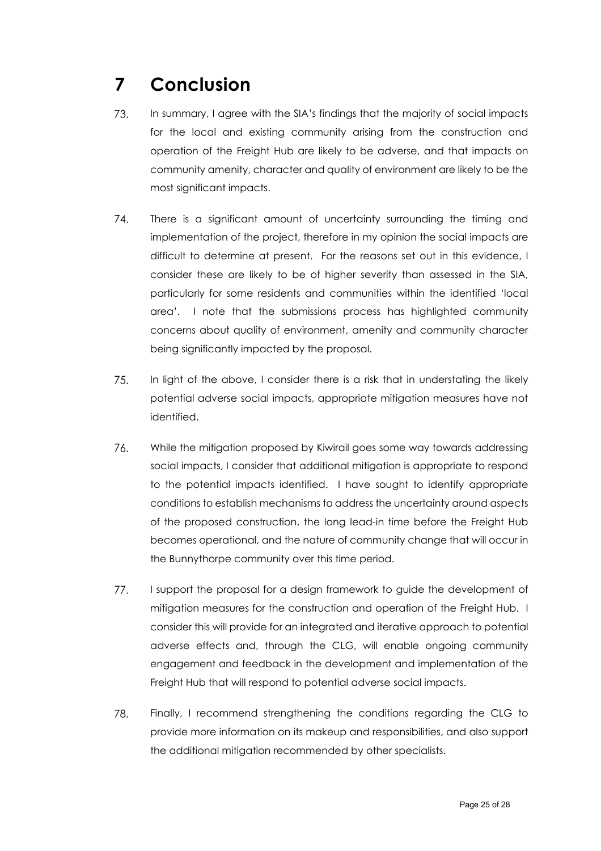# <span id="page-24-0"></span>**7 Conclusion**

- 73. In summary, I agree with the SIA's findings that the majority of social impacts for the local and existing community arising from the construction and operation of the Freight Hub are likely to be adverse, and that impacts on community amenity, character and quality of environment are likely to be the most significant impacts.
- 74. There is a significant amount of uncertainty surrounding the timing and implementation of the project, therefore in my opinion the social impacts are difficult to determine at present. For the reasons set out in this evidence, I consider these are likely to be of higher severity than assessed in the SIA, particularly for some residents and communities within the identified 'local area'. I note that the submissions process has highlighted community concerns about quality of environment, amenity and community character being significantly impacted by the proposal.
- 75. In light of the above, I consider there is a risk that in understating the likely potential adverse social impacts, appropriate mitigation measures have not identified.
- 76. While the mitigation proposed by Kiwirail goes some way towards addressing social impacts, I consider that additional mitigation is appropriate to respond to the potential impacts identified. I have sought to identify appropriate conditions to establish mechanisms to address the uncertainty around aspects of the proposed construction, the long lead-in time before the Freight Hub becomes operational, and the nature of community change that will occur in the Bunnythorpe community over this time period.
- 77. I support the proposal for a design framework to guide the development of mitigation measures for the construction and operation of the Freight Hub. I consider this will provide for an integrated and iterative approach to potential adverse effects and, through the CLG, will enable ongoing community engagement and feedback in the development and implementation of the Freight Hub that will respond to potential adverse social impacts.
- 78. Finally, I recommend strengthening the conditions regarding the CLG to provide more information on its makeup and responsibilities, and also support the additional mitigation recommended by other specialists.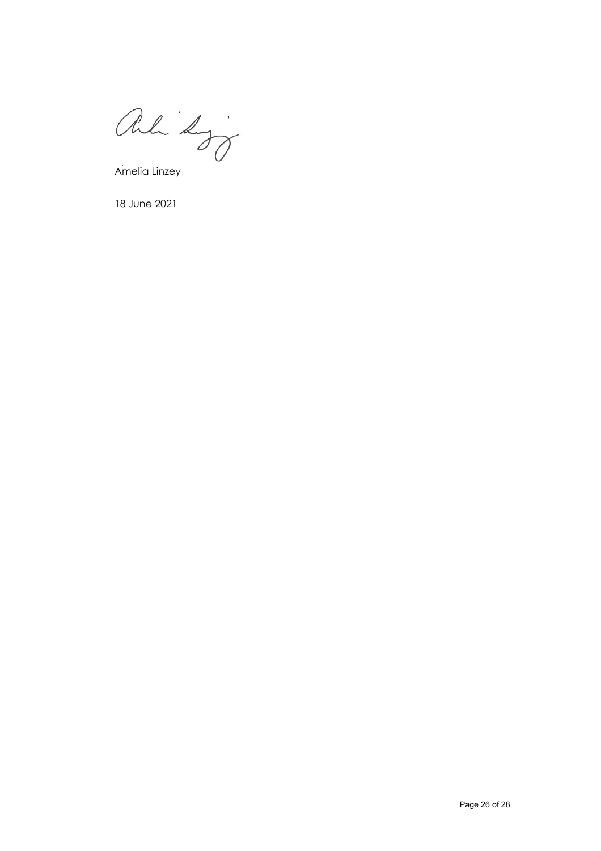ali koj

Amelia Linzey

18 June 2021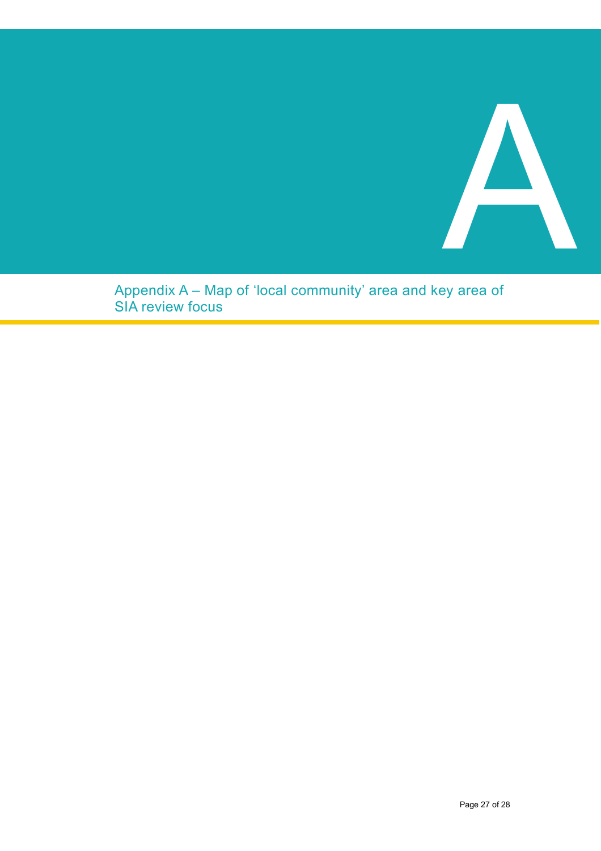

Appendix A – Map of 'local community' area and key area of SIA review focus